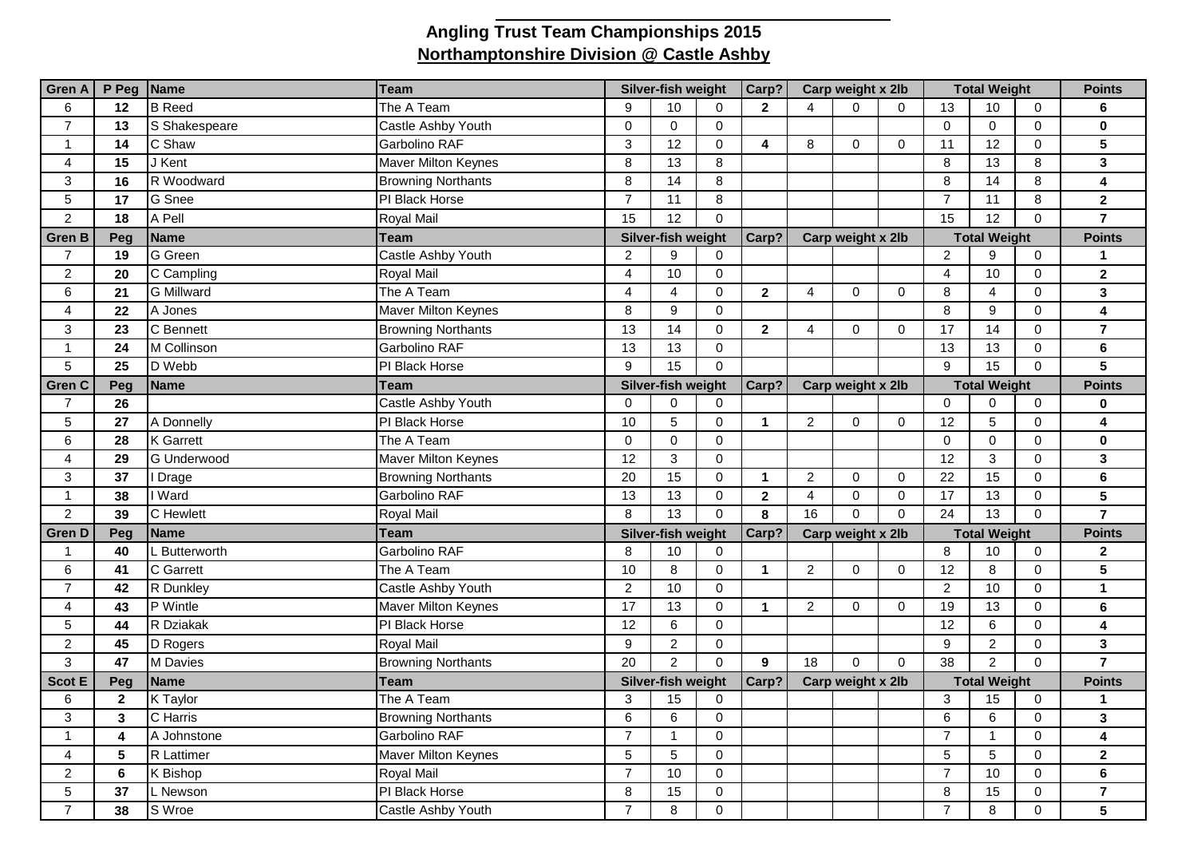## **Angling Trust Team Championships 2015 Northamptonshire Division @ Castle Ashby**

| <b>Gren A</b>   | P Peg Name   |                   | Team                       | Silver-fish weight |                    | Carp?          | Carp weight x 2lb    |                   |                | <b>Total Weight</b> |                           |                 | <b>Points</b> |                         |
|-----------------|--------------|-------------------|----------------------------|--------------------|--------------------|----------------|----------------------|-------------------|----------------|---------------------|---------------------------|-----------------|---------------|-------------------------|
| 6               | 12           | <b>B</b> Reed     | The A Team                 | 9                  | 10                 | $\Omega$       | $\overline{2}$       | $\Delta$          | $\Omega$       | $\Omega$            | 13                        | 10              | $\Omega$      | 6                       |
| $\overline{7}$  | 13           | S Shakespeare     | Castle Ashby Youth         | $\Omega$           | $\Omega$           | $\mathbf 0$    |                      |                   |                |                     | $\mathbf 0$               | $\mathbf 0$     | $\Omega$      | $\mathbf 0$             |
| $\mathbf{1}$    | 14           | C Shaw            | Garbolino RAF              | 3                  | 12                 | $\Omega$       | 4                    | 8                 | $\overline{0}$ | $\mathbf 0$         | 11                        | 12              | $\Omega$      | 5                       |
| 4               | 15           | J Kent            | <b>Maver Milton Keynes</b> | 8                  | 13                 | 8              |                      |                   |                |                     | 8                         | 13              | 8             | $\mathbf{3}$            |
| 3               | 16           | R Woodward        | <b>Browning Northants</b>  | 8                  | 14                 | 8              |                      |                   |                |                     | 8                         | 14              | 8             | $\overline{\mathbf{4}}$ |
| $5\phantom{.0}$ | 17           | G Snee            | PI Black Horse             | $\overline{7}$     | 11                 | 8              |                      |                   |                |                     | $\overline{7}$            | 11              | 8             | $\overline{2}$          |
| $\overline{2}$  | 18           | A Pell            | Royal Mail                 | 15                 | 12                 | $\mathbf 0$    |                      |                   |                |                     | 15                        | 12              | $\Omega$      | $\overline{7}$          |
| <b>Gren B</b>   | Peg          | <b>Name</b>       | Team                       | Silver-fish weight |                    |                | Carp?                | Carp weight x 2lb |                |                     | <b>Total Weight</b>       |                 |               | <b>Points</b>           |
| $\overline{7}$  | 19           | G Green           | Castle Ashby Youth         | $\overline{2}$     | 9                  | $\mathbf 0$    |                      |                   |                |                     | $\overline{2}$            | 9               | $\mathbf 0$   | 1                       |
| $\overline{c}$  | 20           | C Campling        | Royal Mail                 | $\overline{4}$     | 10                 | $\mathbf 0$    |                      |                   |                |                     | $\overline{4}$            | 10              | $\mathbf 0$   | $\overline{2}$          |
| 6               | 21           | <b>G</b> Millward | The $\overline{A}$ Team    | $\overline{4}$     | 4                  | $\mathbf 0$    | $\mathbf{2}$         | $\overline{4}$    | $\mathbf 0$    | 0                   | 8                         | $\overline{4}$  | $\mathbf 0$   | $\mathbf{3}$            |
| $\overline{4}$  | 22           | A Jones           | <b>Maver Milton Keynes</b> | 8                  | 9                  | $\Omega$       |                      |                   |                |                     | 8                         | 9               | $\Omega$      | $\overline{\mathbf{4}}$ |
| 3               | 23           | C Bennett         | <b>Browning Northants</b>  | 13                 | 14                 | $\mathbf 0$    | $\mathbf{2}$         | $\overline{4}$    | $\Omega$       | $\mathbf 0$         | 17                        | 14              | $\Omega$      | $\overline{7}$          |
| $\mathbf{1}$    | 24           | M Collinson       | Garbolino RAF              | 13                 | 13                 | $\overline{0}$ |                      |                   |                |                     | 13                        | 13              | $\Omega$      | $\bf 6$                 |
| 5               | 25           | D Webb            | PI Black Horse             | 9                  | 15                 | $\mathbf 0$    |                      |                   |                |                     | 9                         | 15              | $\Omega$      | $\overline{5}$          |
| <b>Gren C</b>   | Peg          | <b>Name</b>       | Team                       | Silver-fish weight |                    | Carp?          | Carp weight x 2lb    |                   |                | <b>Total Weight</b> |                           |                 | <b>Points</b> |                         |
| $\overline{7}$  | 26           |                   | Castle Ashby Youth         | $\Omega$           | $\Omega$           | $\mathbf 0$    |                      |                   |                |                     | $\mathbf 0$               | $\mathbf 0$     | $\mathbf 0$   | $\bf{0}$                |
| 5               | 27           | A Donnelly        | PI Black Horse             | 10                 | 5                  | $\mathbf 0$    | $\mathbf 1$          | $\overline{2}$    | 0              | $\mathbf 0$         | 12                        | 5               | $\mathbf 0$   | $\overline{\mathbf{4}}$ |
| 6               | 28           | <b>K</b> Garrett  | The A Team                 | $\mathbf 0$        | $\mathbf 0$        | $\mathbf 0$    |                      |                   |                |                     | $\mathbf 0$               | $\mathbf 0$     | $\mathbf 0$   | $\mathbf 0$             |
| 4               | 29           | G Underwood       | Maver Milton Keynes        | 12                 | 3                  | $\mathbf 0$    |                      |                   |                |                     | 12                        | $\mathbf{3}$    | $\mathbf 0$   | $\mathbf{3}$            |
| 3               | 37           | I Drage           | <b>Browning Northants</b>  | 20                 | 15                 | $\mathbf 0$    | $\blacktriangleleft$ | $\overline{2}$    | 0              | $\mathbf 0$         | 22                        | 15              | $\Omega$      | $\bf 6$                 |
| $\mathbf{1}$    | 38           | I Ward            | Garbolino RAF              | 13                 | 13                 | $\mathsf{O}$   | $\mathbf{2}$         | $\overline{4}$    | $\mathbf 0$    | $\mathbf 0$         | 17                        | 13              | $\mathbf 0$   | 5                       |
| $\overline{2}$  | 39           | C Hewlett         | Royal Mail                 | 8                  | $\overline{13}$    | $\Omega$       | 8                    | 16                | $\overline{0}$ | $\Omega$            | 24                        | $\overline{13}$ | $\Omega$      | $\overline{7}$          |
| <b>Gren D</b>   | Peg          | <b>Name</b>       | Team                       |                    | Silver-fish weight |                | Carp?                | Carp weight x 2lb |                |                     | <b>Total Weight</b>       |                 |               | <b>Points</b>           |
| 1               | 40           | L Butterworth     | Garbolino RAF              | 8                  | 10                 | $\Omega$       |                      |                   |                |                     | 8                         | 10              | $\mathbf{0}$  | $\mathbf{2}$            |
| 6               | 41           | C Garrett         | The A Team                 | 10                 | 8                  | $\Omega$       | $\mathbf{1}$         | $\overline{2}$    | $\Omega$       | $\mathbf 0$         | 12                        | 8               | $\mathbf{0}$  | 5                       |
| $\overline{7}$  | 42           | R Dunkley         | Castle Ashby Youth         | $\overline{2}$     | 10                 | $\Omega$       |                      |                   |                |                     | $\overline{2}$            | 10              | $\mathbf{0}$  | $\mathbf{1}$            |
| $\overline{4}$  | 43           | P Wintle          | Maver Milton Keynes        | 17                 | 13                 | $\mathbf 0$    | $\mathbf 1$          | $\overline{2}$    | $\Omega$       | $\mathbf 0$         | 19                        | 13              | $\Omega$      | 6                       |
| 5               | 44           | R Dziakak         | PI Black Horse             | 12                 | $6\phantom{1}$     | $\mathbf 0$    |                      |                   |                |                     | $\overline{12}$           | $\,6\,$         | $\mathbf 0$   | $\overline{\mathbf{4}}$ |
| $\overline{2}$  | 45           | D Rogers          | <b>Royal Mail</b>          | 9                  | $\overline{c}$     | $\mathbf 0$    |                      |                   |                |                     | 9                         | $\overline{2}$  | $\mathbf 0$   | $\mathbf{3}$            |
| 3               | 47           | M Davies          | <b>Browning Northants</b>  | 20                 | $\overline{2}$     | $\mathbf 0$    | $\mathbf{9}$         | $\overline{18}$   | $\mathbf 0$    | $\mathbf 0$         | 38                        | $\overline{2}$  | $\mathbf{0}$  | $\overline{7}$          |
| <b>Scot E</b>   | Peg          | <b>Name</b>       | <b>Team</b>                | Silver-fish weight |                    | Carp?          | Carp weight x 2lb    |                   |                | <b>Total Weight</b> |                           |                 | <b>Points</b> |                         |
| 6               | $\mathbf{2}$ | K Taylor          | The A Team                 | 3                  | 15                 | $\mathbf 0$    |                      |                   |                |                     | $\ensuremath{\mathsf{3}}$ | 15              | 0             | $\mathbf 1$             |
| 3               | 3            | C Harris          | <b>Browning Northants</b>  | 6                  | 6                  | $\mathbf 0$    |                      |                   |                |                     | 6                         | 6               | $\mathbf 0$   | 3                       |
| $\mathbf{1}$    | 4            | A Johnstone       | Garbolino RAF              | $\overline{7}$     | $\overline{1}$     | $\Omega$       |                      |                   |                |                     | $\overline{7}$            | $\mathbf{1}$    | $\Omega$      | $\overline{\mathbf{4}}$ |
| 4               | 5            | R Lattimer        | <b>Maver Milton Keynes</b> | 5                  | 5                  | $\Omega$       |                      |                   |                |                     | 5                         | $\sqrt{5}$      | $\Omega$      | $\overline{2}$          |
| $\overline{c}$  | 6            | K Bishop          | Royal Mail                 | $\overline{7}$     | 10                 | $\mathbf 0$    |                      |                   |                |                     | $\overline{7}$            | 10              | $\mathbf{0}$  | 6                       |
| 5               | 37           | L Newson          | PI Black Horse             | 8                  | 15                 | $\mathbf 0$    |                      |                   |                |                     | 8                         | 15              | $\mathbf 0$   | $\overline{7}$          |
| $\overline{7}$  | 38           | S Wroe            | Castle Ashby Youth         | $\overline{7}$     | 8                  | $\mathbf 0$    |                      |                   |                |                     | $\overline{7}$            | 8               | $\Omega$      | 5                       |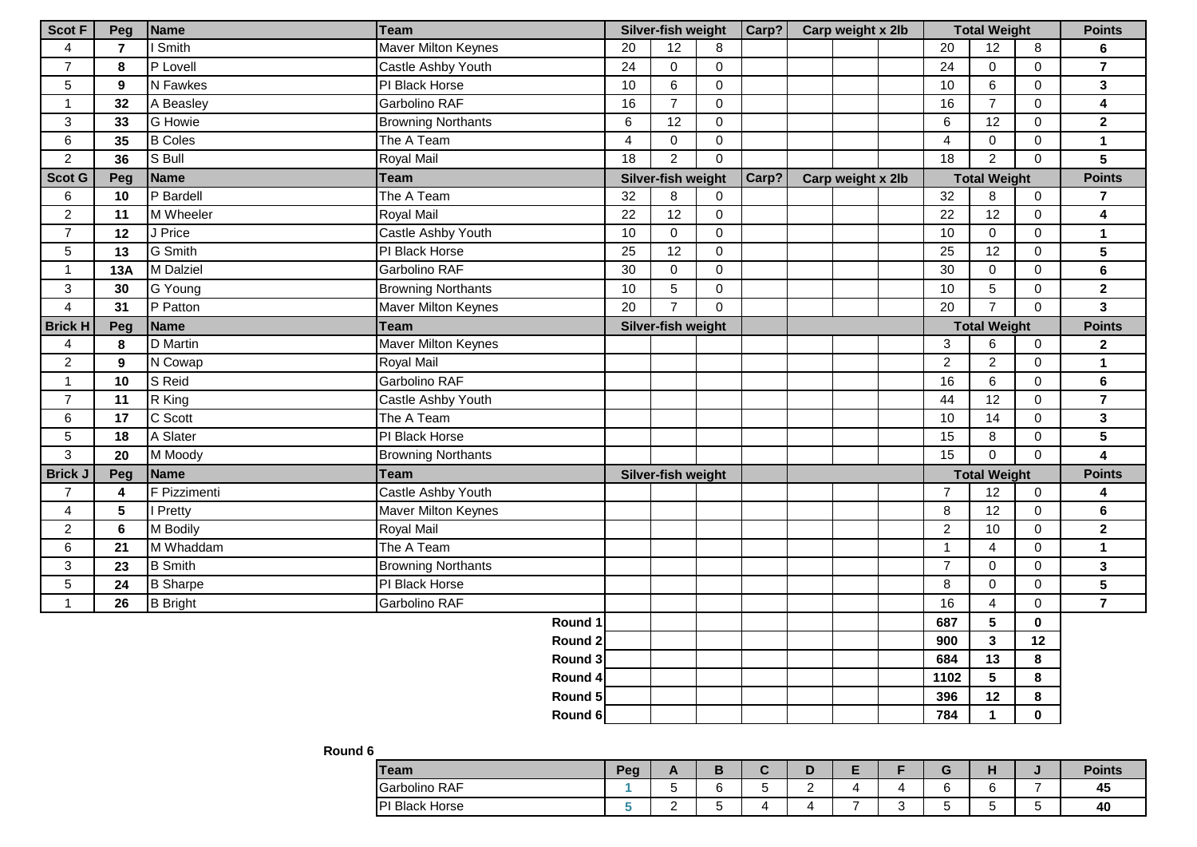| <b>Scot F</b>   | Peg            | Name                 | <b>Team</b>               |                 | Silver-fish weight |                | Carp? |  | Carp weight x 2lb |                     |                     | <b>Total Weight</b>     |               | <b>Points</b>           |
|-----------------|----------------|----------------------|---------------------------|-----------------|--------------------|----------------|-------|--|-------------------|---------------------|---------------------|-------------------------|---------------|-------------------------|
| $\overline{4}$  | $\overline{7}$ | Smith                | Maver Milton Keynes       | 20              | 12                 | 8              |       |  |                   |                     | 20                  | 12                      | 8             | 6                       |
| $\overline{7}$  | 8              | P Lovell             | Castle Ashby Youth        | 24              | $\mathbf 0$        | $\mathbf 0$    |       |  |                   |                     | 24                  | $\mathbf 0$             | $\mathbf 0$   | $\overline{7}$          |
| $5\phantom{.0}$ | 9              | N Fawkes             | PI Black Horse            | 10              | 6                  | $\mathbf 0$    |       |  |                   |                     | 10                  | 6                       | $\mathbf 0$   | $\overline{\mathbf{3}}$ |
| $\mathbf{1}$    | 32             | A Beasley            | Garbolino RAF             | 16              | $\overline{7}$     | $\mathbf 0$    |       |  |                   |                     | 16                  | $\overline{7}$          | $\mathbf 0$   | 4                       |
| 3               | 33             | G Howie              | <b>Browning Northants</b> | 6               | 12                 | $\mathbf 0$    |       |  |                   |                     | 6                   | 12                      | $\mathbf 0$   | $\mathbf{2}$            |
| 6               | 35             | <b>B</b> Coles       | The A Team                | $\overline{4}$  | $\mathbf 0$        | $\overline{0}$ |       |  |                   |                     | $\overline{4}$      | $\mathbf 0$             | $\mathbf 0$   | $\mathbf{1}$            |
| $\overline{2}$  | 36             | S Bull               | Royal Mail                | 18              | $\overline{2}$     | $\overline{0}$ |       |  |                   |                     | 18                  | $\overline{2}$          | $\mathbf{0}$  | 5                       |
| <b>Scot G</b>   | Peg            | Name                 | <b>Team</b>               |                 | Silver-fish weight |                | Carp? |  | Carp weight x 2lb |                     | <b>Total Weight</b> |                         |               | <b>Points</b>           |
| 6               | 10             | P Bardell            | The A Team                | 32              | 8                  | $\mathbf 0$    |       |  |                   |                     | 32                  | 8                       | $\mathbf 0$   | $\overline{7}$          |
| $\overline{2}$  | 11             | M Wheeler            | Royal Mail                | $\overline{22}$ | 12                 | $\mathbf 0$    |       |  |                   |                     | 22                  | 12                      | $\mathbf 0$   | $\overline{\mathbf{4}}$ |
| $\overline{7}$  | 12             | J Price              | Castle Ashby Youth        | 10              | $\mathbf 0$        | $\mathbf 0$    |       |  |                   |                     | 10                  | $\mathbf 0$             | $\mathbf 0$   | $\mathbf{1}$            |
| 5               | 13             | G Smith              | PI Black Horse            | 25              | 12                 | $\mathbf 0$    |       |  |                   |                     | 25                  | 12                      | $\mathbf 0$   | 5                       |
| $\mathbf{1}$    | 13A            | M Dalziel            | Garbolino RAF             | 30              | $\mathbf 0$        | $\overline{0}$ |       |  |                   |                     | 30                  | $\mathbf 0$             | $\mathbf 0$   | 6                       |
| 3               | 30             | G Young              | <b>Browning Northants</b> | 10              | 5                  | $\mathbf 0$    |       |  |                   |                     | 10                  | $5\phantom{.0}$         | $\mathbf 0$   | $\mathbf{2}$            |
| $\overline{4}$  | 31             | P Patton             | Maver Milton Keynes       | 20              | $\overline{7}$     | $\Omega$       |       |  |                   |                     | 20                  | $\overline{7}$          | $\Omega$      | $\mathbf{3}$            |
| <b>Brick H</b>  | Peg            | Name                 | <b>Team</b>               |                 | Silver-fish weight |                |       |  |                   | <b>Total Weight</b> |                     |                         | <b>Points</b> |                         |
| $\overline{4}$  | 8              | D Martin             | Maver Milton Keynes       |                 |                    |                |       |  |                   |                     | 3                   | 6                       | $\mathbf 0$   | $\mathbf{2}$            |
| $\overline{2}$  | 9              | N Cowap              | Royal Mail                |                 |                    |                |       |  |                   |                     | $\overline{c}$      | $\overline{2}$          | $\pmb{0}$     | $\mathbf{1}$            |
| $\mathbf{1}$    | 10             | S Reid               | Garbolino RAF             |                 |                    |                |       |  |                   |                     | 16                  | 6                       | $\mathbf{0}$  | 6                       |
| $\overline{7}$  | 11             | R King               | Castle Ashby Youth        |                 |                    |                |       |  |                   |                     | 44                  | 12                      | $\mathbf 0$   | $\overline{7}$          |
| 6               | 17             | $\overline{C}$ Scott | The A Team                |                 |                    |                |       |  |                   |                     | 10                  | 14                      | $\mathbf 0$   | 3                       |
| 5               | 18             | A Slater             | PI Black Horse            |                 |                    |                |       |  |                   |                     | 15                  | 8                       | $\mathbf 0$   | 5                       |
| 3               | 20             | M Moody              | <b>Browning Northants</b> |                 |                    |                |       |  |                   |                     | 15                  | $\overline{0}$          | $\mathbf 0$   | $\overline{\mathbf{4}}$ |
| Brick.          | Peg            | Name                 | <b>Team</b>               |                 | Silver-fish weight |                |       |  |                   |                     |                     | <b>Total Weight</b>     |               | <b>Points</b>           |
| $\overline{7}$  | 4              | F Pizzimenti         | Castle Ashby Youth        |                 |                    |                |       |  |                   |                     | $\overline{7}$      | $\overline{12}$         | $\mathbf 0$   | 4                       |
| 4               | 5              | Pretty               | Maver Milton Keynes       |                 |                    |                |       |  |                   |                     | $\bf 8$             | 12                      | 0             | 6                       |
| $\overline{2}$  | 6              | M Bodily             | Royal Mail                |                 |                    |                |       |  |                   |                     | $\boldsymbol{2}$    | 10                      | $\mathbf{0}$  | $\mathbf{2}$            |
| 6               | 21             | M Whaddam            | The A Team                |                 |                    |                |       |  |                   |                     | $\mathbf{1}$        | $\overline{4}$          | $\mathbf{0}$  | $\mathbf{1}$            |
| 3               | 23             | <b>B</b> Smith       | <b>Browning Northants</b> |                 |                    |                |       |  |                   |                     | $\overline{7}$      | $\mathbf 0$             | $\mathbf 0$   | $\overline{\mathbf{3}}$ |
| 5               | 24             | <b>B</b> Sharpe      | PI Black Horse            |                 |                    |                |       |  |                   |                     | 8                   | $\mathbf 0$             | $\mathbf 0$   | 5                       |
| $\mathbf{1}$    | 26             | <b>B</b> Bright      | Garbolino RAF             |                 |                    |                |       |  |                   |                     | 16                  | $\overline{4}$          | $\mathbf{0}$  | $\overline{7}$          |
|                 |                |                      | Round 1                   |                 |                    |                |       |  |                   |                     | 687                 | 5                       | $\mathbf 0$   |                         |
|                 |                |                      | Round 2                   |                 |                    |                |       |  |                   |                     | 900                 | $\overline{\mathbf{3}}$ | 12            |                         |
|                 |                |                      | Round 3                   |                 |                    |                |       |  |                   |                     | 684                 | 13                      | 8             |                         |
|                 |                |                      | Round 4                   |                 |                    |                |       |  |                   |                     | 1102                | 5                       | 8             |                         |
|                 |                |                      | Round 5                   |                 |                    |                |       |  |                   |                     | 396                 | 12                      | 8             |                         |
|                 |                |                      | Round 6                   |                 |                    |                |       |  |                   |                     | 784                 | $\mathbf{1}$            | $\mathbf 0$   |                         |

## **Round 6**

| <b>Team</b>              | Peg | $\overline{\phantom{0}}$ |   |   |               | - |  | . . | <b>Points</b> |
|--------------------------|-----|--------------------------|---|---|---------------|---|--|-----|---------------|
| Garbolino RAF            |     |                          |   | w | ∽<br><u>.</u> |   |  |     | -45           |
| <b>PI Black</b><br>Horse |     | -                        | - |   |               | - |  |     | 40            |